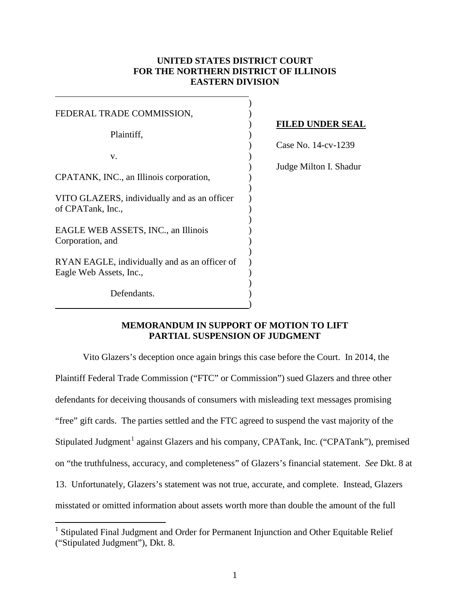## **UNITED STATES DISTRICT COURT FOR THE NORTHERN DISTRICT OF ILLINOIS EASTERN DIVISION**

| FEDERAL TRADE COMMISSION,                     |  |
|-----------------------------------------------|--|
|                                               |  |
| Plaintiff,                                    |  |
|                                               |  |
| v.                                            |  |
|                                               |  |
| CPATANK, INC., an Illinois corporation,       |  |
|                                               |  |
| VITO GLAZERS, individually and as an officer  |  |
| of CPATank, Inc.,                             |  |
|                                               |  |
| EAGLE WEB ASSETS, INC., an Illinois           |  |
| Corporation, and                              |  |
|                                               |  |
| RYAN EAGLE, individually and as an officer of |  |
| Eagle Web Assets, Inc.,                       |  |
|                                               |  |
| Defendants.                                   |  |
|                                               |  |

 $\overline{a}$ 

 $\overline{a}$ 

### ) **FILED UNDER SEAL**

) Case No. 14-cv-1239

) Judge Milton I. Shadur

## **MEMORANDUM IN SUPPORT OF MOTION TO LIFT PARTIAL SUSPENSION OF JUDGMENT**

 Vito Glazers's deception once again brings this case before the Court. In 2014, the Plaintiff Federal Trade Commission ("FTC" or Commission") sued Glazers and three other defendants for deceiving thousands of consumers with misleading text messages promising "free" gift cards. The parties settled and the FTC agreed to suspend the vast majority of the Stipulated Judgment<sup>1</sup> against Glazers and his company, CPATank, Inc. ("CPATank"), premised on "the truthfulness, accuracy, and completeness" of Glazers's financial statement. *See* Dkt. 8 at 13. Unfortunately, Glazers's statement was not true, accurate, and complete. Instead, Glazers misstated or omitted information about assets worth more than double the amount of the full

<sup>&</sup>lt;sup>1</sup> Stipulated Final Judgment and Order for Permanent Injunction and Other Equitable Relief ("Stipulated Judgment"), Dkt. 8.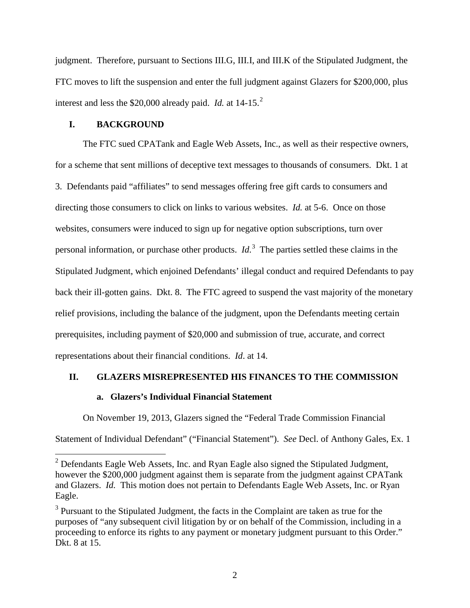judgment. Therefore, pursuant to Sections III.G, III.I, and III.K of the Stipulated Judgment, the FTC moves to lift the suspension and enter the full judgment against Glazers for \$200,000, plus interest and less the  $$20,000$  already paid. *Id.* at  $14-15$ <sup>2</sup>

### **I. BACKGROUND**

 $\overline{a}$ 

The FTC sued CPATank and Eagle Web Assets, Inc., as well as their respective owners, for a scheme that sent millions of deceptive text messages to thousands of consumers. Dkt. 1 at 3. Defendants paid "affiliates" to send messages offering free gift cards to consumers and directing those consumers to click on links to various websites. *Id.* at 5-6. Once on those websites, consumers were induced to sign up for negative option subscriptions, turn over personal information, or purchase other products. *Id*. 3 The parties settled these claims in the Stipulated Judgment, which enjoined Defendants' illegal conduct and required Defendants to pay back their ill-gotten gains. Dkt. 8. The FTC agreed to suspend the vast majority of the monetary relief provisions, including the balance of the judgment, upon the Defendants meeting certain prerequisites, including payment of \$20,000 and submission of true, accurate, and correct representations about their financial conditions. *Id*. at 14.

#### **II. GLAZERS MISREPRESENTED HIS FINANCES TO THE COMMISSION**

## **a. Glazers's Individual Financial Statement**

On November 19, 2013, Glazers signed the "Federal Trade Commission Financial Statement of Individual Defendant" ("Financial Statement"). *See* Decl. of Anthony Gales, Ex. 1

 $2$  Defendants Eagle Web Assets, Inc. and Ryan Eagle also signed the Stipulated Judgment, however the \$200,000 judgment against them is separate from the judgment against CPATank and Glazers. *Id.* This motion does not pertain to Defendants Eagle Web Assets, Inc. or Ryan Eagle.

 $3$  Pursuant to the Stipulated Judgment, the facts in the Complaint are taken as true for the purposes of "any subsequent civil litigation by or on behalf of the Commission, including in a proceeding to enforce its rights to any payment or monetary judgment pursuant to this Order." Dkt. 8 at 15.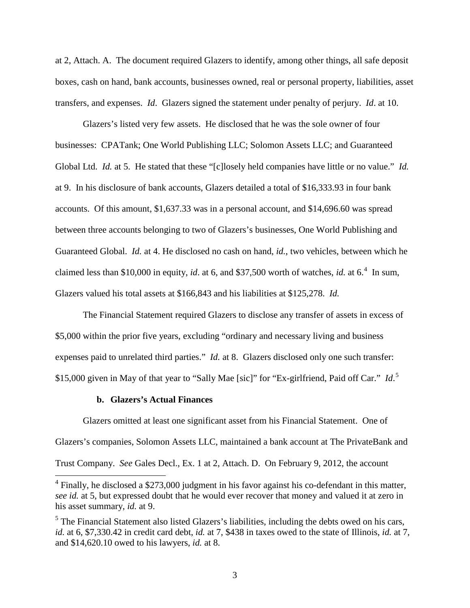at 2, Attach. A. The document required Glazers to identify, among other things, all safe deposit boxes, cash on hand, bank accounts, businesses owned, real or personal property, liabilities, asset transfers, and expenses. *Id*. Glazers signed the statement under penalty of perjury. *Id*. at 10.

Glazers's listed very few assets. He disclosed that he was the sole owner of four businesses: CPATank; One World Publishing LLC; Solomon Assets LLC; and Guaranteed Global Ltd. *Id.* at 5. He stated that these "[c]losely held companies have little or no value." *Id.* at 9. In his disclosure of bank accounts, Glazers detailed a total of \$16,333.93 in four bank accounts. Of this amount, \$1,637.33 was in a personal account, and \$14,696.60 was spread between three accounts belonging to two of Glazers's businesses, One World Publishing and Guaranteed Global. *Id.* at 4. He disclosed no cash on hand, *id.*, two vehicles, between which he claimed less than \$10,000 in equity, *id.* at 6, and \$37,500 worth of watches, *id.* at 6.<sup>4</sup> In sum, Glazers valued his total assets at \$166,843 and his liabilities at \$125,278. *Id.*

The Financial Statement required Glazers to disclose any transfer of assets in excess of \$5,000 within the prior five years, excluding "ordinary and necessary living and business expenses paid to unrelated third parties." *Id.* at 8. Glazers disclosed only one such transfer: \$15,000 given in May of that year to "Sally Mae [sic]" for "Ex-girlfriend, Paid off Car." *Id*. 5

#### **b. Glazers's Actual Finances**

 $\overline{a}$ 

Glazers omitted at least one significant asset from his Financial Statement. One of Glazers's companies, Solomon Assets LLC, maintained a bank account at The PrivateBank and Trust Company. *See* Gales Decl., Ex. 1 at 2, Attach. D. On February 9, 2012, the account

 $4$  Finally, he disclosed a \$273,000 judgment in his favor against his co-defendant in this matter, *see id.* at 5, but expressed doubt that he would ever recover that money and valued it at zero in his asset summary, *id.* at 9.

 $<sup>5</sup>$  The Financial Statement also listed Glazers's liabilities, including the debts owed on his cars,</sup> *id.* at 6, \$7,330.42 in credit card debt, *id.* at 7, \$438 in taxes owed to the state of Illinois, *id.* at 7, and \$14,620.10 owed to his lawyers, *id.* at 8.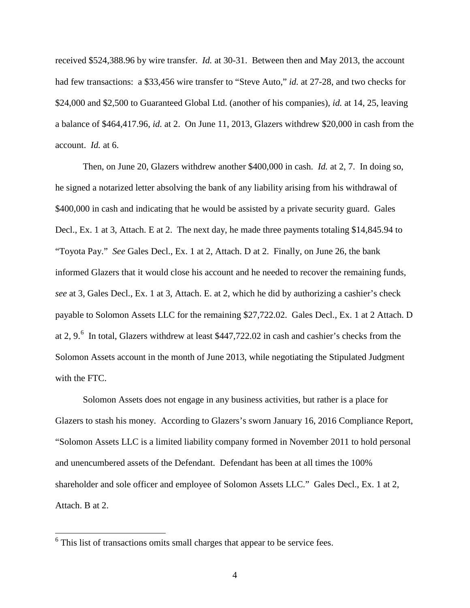received \$524,388.96 by wire transfer. *Id.* at 30-31. Between then and May 2013, the account had few transactions: a \$33,456 wire transfer to "Steve Auto," *id.* at 27-28, and two checks for \$24,000 and \$2,500 to Guaranteed Global Ltd. (another of his companies), *id.* at 14, 25, leaving a balance of \$464,417.96, *id.* at 2. On June 11, 2013, Glazers withdrew \$20,000 in cash from the account. *Id.* at 6.

Then, on June 20, Glazers withdrew another \$400,000 in cash. *Id.* at 2, 7. In doing so, he signed a notarized letter absolving the bank of any liability arising from his withdrawal of \$400,000 in cash and indicating that he would be assisted by a private security guard. Gales Decl., Ex. 1 at 3, Attach. E at 2. The next day, he made three payments totaling \$14,845.94 to "Toyota Pay." *See* Gales Decl., Ex. 1 at 2, Attach. D at 2. Finally, on June 26, the bank informed Glazers that it would close his account and he needed to recover the remaining funds, *see* at 3, Gales Decl., Ex. 1 at 3, Attach. E. at 2, which he did by authorizing a cashier's check payable to Solomon Assets LLC for the remaining \$27,722.02. Gales Decl., Ex. 1 at 2 Attach. D at 2, 9. $^6$  In total, Glazers withdrew at least \$447,722.02 in cash and cashier's checks from the Solomon Assets account in the month of June 2013, while negotiating the Stipulated Judgment with the FTC.

Solomon Assets does not engage in any business activities, but rather is a place for Glazers to stash his money. According to Glazers's sworn January 16, 2016 Compliance Report, "Solomon Assets LLC is a limited liability company formed in November 2011 to hold personal and unencumbered assets of the Defendant. Defendant has been at all times the 100% shareholder and sole officer and employee of Solomon Assets LLC." Gales Decl., Ex. 1 at 2, Attach. B at 2.

 $6$  This list of transactions omits small charges that appear to be service fees.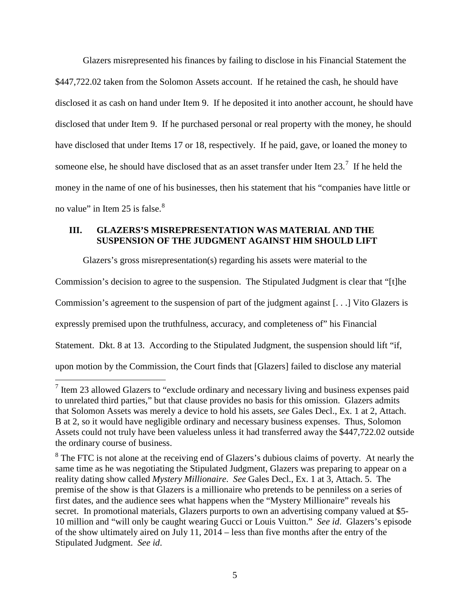Glazers misrepresented his finances by failing to disclose in his Financial Statement the \$447,722.02 taken from the Solomon Assets account. If he retained the cash, he should have disclosed it as cash on hand under Item 9. If he deposited it into another account, he should have disclosed that under Item 9. If he purchased personal or real property with the money, he should have disclosed that under Items 17 or 18, respectively. If he paid, gave, or loaned the money to someone else, he should have disclosed that as an asset transfer under Item  $23.^7$  If he held the money in the name of one of his businesses, then his statement that his "companies have little or no value" in Item 25 is false. $8<sup>8</sup>$ 

# **III. GLAZERS'S MISREPRESENTATION WAS MATERIAL AND THE SUSPENSION OF THE JUDGMENT AGAINST HIM SHOULD LIFT**

Glazers's gross misrepresentation(s) regarding his assets were material to the Commission's decision to agree to the suspension. The Stipulated Judgment is clear that "[t]he Commission's agreement to the suspension of part of the judgment against [. . .] Vito Glazers is expressly premised upon the truthfulness, accuracy, and completeness of" his Financial Statement. Dkt. 8 at 13. According to the Stipulated Judgment, the suspension should lift "if, upon motion by the Commission, the Court finds that [Glazers] failed to disclose any material

 $<sup>7</sup>$  Item 23 allowed Glazers to "exclude ordinary and necessary living and business expenses paid</sup> to unrelated third parties," but that clause provides no basis for this omission. Glazers admits that Solomon Assets was merely a device to hold his assets, *see* Gales Decl., Ex. 1 at 2, Attach. B at 2, so it would have negligible ordinary and necessary business expenses. Thus, Solomon Assets could not truly have been valueless unless it had transferred away the \$447,722.02 outside the ordinary course of business.

 $8$  The FTC is not alone at the receiving end of Glazers's dubious claims of poverty. At nearly the same time as he was negotiating the Stipulated Judgment, Glazers was preparing to appear on a reality dating show called *Mystery Millionaire*. *See* Gales Decl., Ex. 1 at 3, Attach. 5. The premise of the show is that Glazers is a millionaire who pretends to be penniless on a series of first dates, and the audience sees what happens when the "Mystery Millionaire" reveals his secret. In promotional materials, Glazers purports to own an advertising company valued at \$5- 10 million and "will only be caught wearing Gucci or Louis Vuitton." *See id*. Glazers's episode of the show ultimately aired on July 11, 2014 – less than five months after the entry of the Stipulated Judgment. *See id*.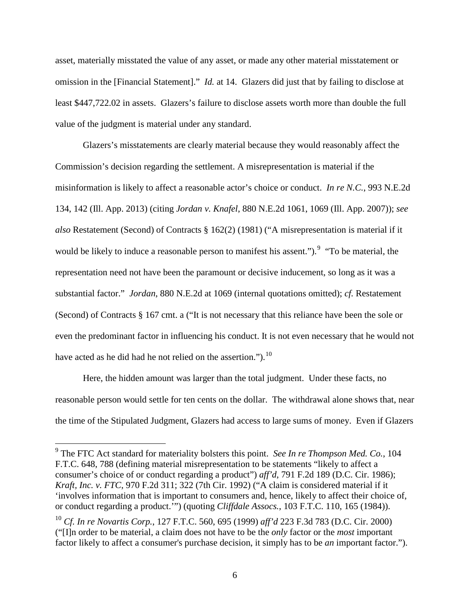asset, materially misstated the value of any asset, or made any other material misstatement or omission in the [Financial Statement]." *Id.* at 14. Glazers did just that by failing to disclose at least \$447,722.02 in assets. Glazers's failure to disclose assets worth more than double the full value of the judgment is material under any standard.

Glazers's misstatements are clearly material because they would reasonably affect the Commission's decision regarding the settlement. A misrepresentation is material if the misinformation is likely to affect a reasonable actor's choice or conduct. *In re N.C.*, 993 N.E.2d 134, 142 (Ill. App. 2013) (citing *Jordan v. Knafel*, 880 N.E.2d 1061, 1069 (Ill. App. 2007)); *see also* Restatement (Second) of Contracts § 162(2) (1981) ("A misrepresentation is material if it would be likely to induce a reasonable person to manifest his assent."). <sup>9</sup> "To be material, the representation need not have been the paramount or decisive inducement, so long as it was a substantial factor." *Jordan*, 880 N.E.2d at 1069 (internal quotations omitted); *cf.* Restatement (Second) of Contracts § 167 cmt. a ("It is not necessary that this reliance have been the sole or even the predominant factor in influencing his conduct. It is not even necessary that he would not have acted as he did had he not relied on the assertion.").<sup>10</sup>

Here, the hidden amount was larger than the total judgment. Under these facts, no reasonable person would settle for ten cents on the dollar. The withdrawal alone shows that, near the time of the Stipulated Judgment, Glazers had access to large sums of money. Even if Glazers

<sup>9</sup> The FTC Act standard for materiality bolsters this point. *See In re Thompson Med. Co.*, 104 F.T.C. 648, 788 (defining material misrepresentation to be statements "likely to affect a consumer's choice of or conduct regarding a product") *aff'd*, 791 F.2d 189 (D.C. Cir. 1986); *Kraft, Inc. v. FTC*, 970 F.2d 311; 322 (7th Cir. 1992) ("A claim is considered material if it 'involves information that is important to consumers and, hence, likely to affect their choice of, or conduct regarding a product.'") (quoting *Cliffdale Assocs.*, 103 F.T.C. 110, 165 (1984)).

<sup>10</sup> *Cf. In re Novartis Corp.*, 127 F.T.C. 560, 695 (1999) *aff'd* 223 F.3d 783 (D.C. Cir. 2000) ("[I]n order to be material, a claim does not have to be the *only* factor or the *most* important factor likely to affect a consumer's purchase decision, it simply has to be *an* important factor.").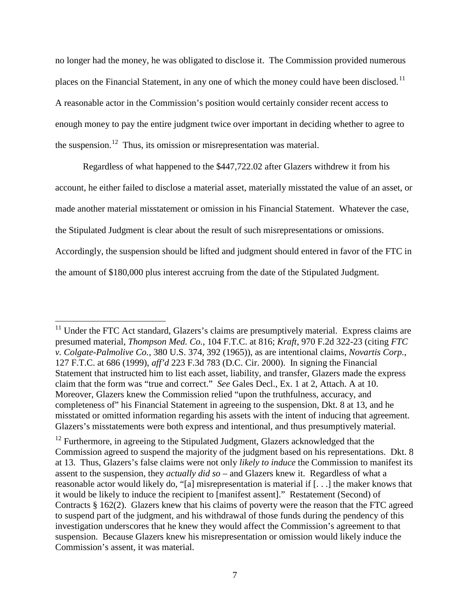no longer had the money, he was obligated to disclose it. The Commission provided numerous places on the Financial Statement, in any one of which the money could have been disclosed.<sup>11</sup> A reasonable actor in the Commission's position would certainly consider recent access to enough money to pay the entire judgment twice over important in deciding whether to agree to the suspension.<sup>12</sup> Thus, its omission or misrepresentation was material.

Regardless of what happened to the \$447,722.02 after Glazers withdrew it from his account, he either failed to disclose a material asset, materially misstated the value of an asset, or made another material misstatement or omission in his Financial Statement. Whatever the case, the Stipulated Judgment is clear about the result of such misrepresentations or omissions. Accordingly, the suspension should be lifted and judgment should entered in favor of the FTC in the amount of \$180,000 plus interest accruing from the date of the Stipulated Judgment.

 $11$  Under the FTC Act standard, Glazers's claims are presumptively material. Express claims are presumed material, *Thompson Med. Co.*, 104 F.T.C. at 816; *Kraft*, 970 F.2d 322-23 (citing *FTC v. Colgate-Palmolive Co.*, 380 U.S. 374, 392 (1965)), as are intentional claims, *Novartis Corp.*, 127 F.T.C. at 686 (1999), *aff'd* 223 F.3d 783 (D.C. Cir. 2000). In signing the Financial Statement that instructed him to list each asset, liability, and transfer, Glazers made the express claim that the form was "true and correct." *See* Gales Decl., Ex. 1 at 2, Attach. A at 10. Moreover, Glazers knew the Commission relied "upon the truthfulness, accuracy, and completeness of" his Financial Statement in agreeing to the suspension, Dkt. 8 at 13, and he misstated or omitted information regarding his assets with the intent of inducing that agreement. Glazers's misstatements were both express and intentional, and thus presumptively material.

<sup>&</sup>lt;sup>12</sup> Furthermore, in agreeing to the Stipulated Judgment, Glazers acknowledged that the Commission agreed to suspend the majority of the judgment based on his representations. Dkt. 8 at 13. Thus, Glazers's false claims were not only *likely to induce* the Commission to manifest its assent to the suspension, they *actually did so* – and Glazers knew it. Regardless of what a reasonable actor would likely do, "[a] misrepresentation is material if [. . .] the maker knows that it would be likely to induce the recipient to [manifest assent]." Restatement (Second) of Contracts § 162(2). Glazers knew that his claims of poverty were the reason that the FTC agreed to suspend part of the judgment, and his withdrawal of those funds during the pendency of this investigation underscores that he knew they would affect the Commission's agreement to that suspension. Because Glazers knew his misrepresentation or omission would likely induce the Commission's assent, it was material.